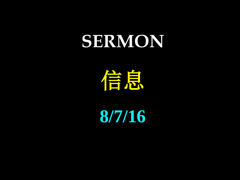## **SERMON**

信息

**8/7/16**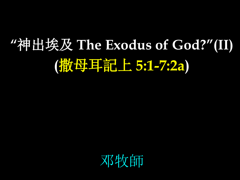# **"**神出埃及 **The Exodus of God?"(II) (**撒母耳記上 **5:1-7:2a)**

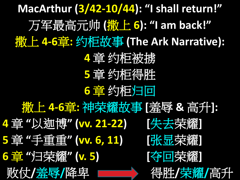**MacArthur (3/42-10/44): "I shall return!"** 万军最高元帅 **(**撒上 **6): "I am back!"** 撒上 **4-6**章**:** 约柜故事 **(The Ark Narrative): 4** 章 约柜被掳 **5** 章 约柜得胜 **6** 章 约柜归回 撒上 **4-6**章**:** 神荣耀故事 **[**羞辱 **&** 高升**]: 4** 章 **"**以迦博**" (vv. 21-22) [**失去荣耀**] 5** 章 **"**手重重**" (vv. 6, 11) [**张显荣耀**] 6** 章 **"**归荣耀**" (v. 5) [**夺回荣耀**]** 败仗**/**羞辱**/**降卑 得胜**/**荣耀**/**高升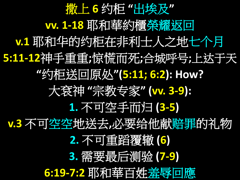撒上 **6** 约柜 **"**出埃及**" vv. 1-18** 耶和華約櫃榮耀返回 **v.1** 耶和华的约柜在非利士人之地七个月 **5:11-12**神手重重**;**惊慌而死**;**合城呼号**;**上达于天 **"**约柜送回原处**"(5:11; 6:2): How?** 大袞神 **"**宗教专家**" (vv. 3-9): 1.** 不可空手而归 **(3-5) v.3** 不可空空地送去**,**必要给他献赔罪的礼物 **2.** 不可重蹈覆辙 **(6) 3.** 需要最后测验 **(7-9) 6:19-7:2** 耶和華百姓羞辱回應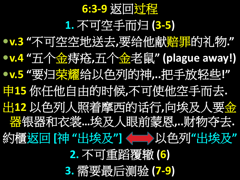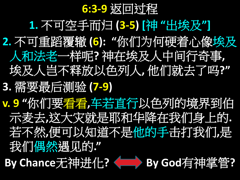**6:3-9** 返回过程 **1.** 不可空手而归 **(3-5) [**神 **"**出埃及**"] 2.** 不可重蹈覆辙 **(6): "**你们为何硬着心像埃及 人和法老一样呢**?** 神在埃及人中间行奇事**,**  埃及人岂不释放以色列人**,** 他们就去了吗**?" 3.** 需要最后测验 **(7-9) v. 9 "**你们要看看**,**车若直行以色列的境界到伯 示麦去**,**这大灾就是耶和华降在我们身上的**.** 若不然**,**便可以知道不是他的手击打我们**,**是 我们偶然遇见的**."**

**By Chance**无神进化**? By God**有神掌管**?**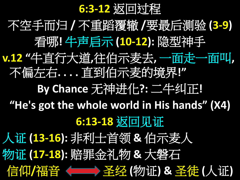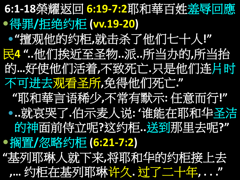**6:1-18**榮耀返回 **6:19-7:2**耶和華百姓羞辱回應 得罪**/**拒绝约柜 **(vv.19-20) "**擅观他的约柜**,**就击杀了他们七十人**!"** 民**4 "..**他们挨近至圣物**..**派**..**所当办的**,**所当抬 的**…**好使他们活着**,**不致死亡**.**只是他们连片时 不可进去观看圣所**,**免得他们死亡**." "**耶和華言语稀少**,**不常有默示**:** 任意而行**!" ..**就哀哭了**.**伯示麦人说**: '**谁能在耶和华圣洁 的神面前侍立呢**?**这约柜**..**送到那里去呢**?"** ●搁置/忽略约柜 (6:21-7:2) **"**基列耶琳人就下来**,**将耶和华的约柜接上去 **,…** 约柜在基列耶琳许久**.** 过了二十年**, . . ."**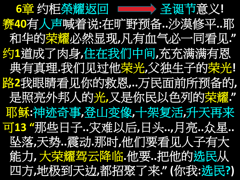



赛**40**有人声喊着说**:**在旷野预备**..**沙漠修平**..**耶 和华的荣耀必然显现**,**凡有血气必一同看见**."** 约**1**道成了肉身**,**住在我们中间**,**充充满满有恩 典有真理**.**我们见过他荣光**,**父独生子的荣光**!** 路**2**我眼睛看见你的救恩**,..**万民面前所预备的**,** 是照亮外邦人的光**,**又是你民以色列的荣耀**."** 耶稣**:**神迹奇事**,**登山变像**,**十架复活**,**升天再来 可**13 "**那些日子**..**灾难以后**,**日头**..,**月亮**..**众星**..** 坠落**,**天势**..**震动**.**那时**,**他们要看见人子有大 能力**,** 大荣耀驾云降临**.**他要**..**把他的选民从 四方**,**地极到天边**,**都招聚了来**." (**你我**:**选民**?)**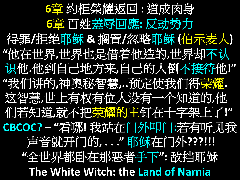**6**章 约柜榮耀返回 **:** 道成肉身 **6**章 百姓羞辱回應**:** 反动势力 得罪**/**拒绝耶稣 **&** 搁置**/**忽略耶稣 **(**伯示麦人**) "**他在世界**,**世界也是借着他造的**,**世界却不认 识他**.**他到自己地方来**,**自己的人倒不接待他**!" "**我们讲的**,**神奥秘智慧**,..**预定使我们得荣耀**.** 这智慧**,**世上有权有位人没有一个知道的**,**他 们若知道**,**就不把荣耀的主钉在十字架上了**!" CBCOC? – "**看哪**!** 我站在门外叩门**:**若有听见我 声音就开门的,..."耶稣在门外???!!!! **"**全世界都卧在那恶者手下**":** 敌挡耶稣 **The White Witch: the Land of Narnia**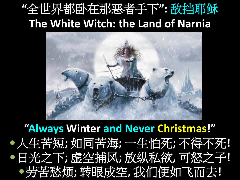### **"**全世界都卧在那恶者手下**":** 敌挡耶稣 **The White Witch: the Land of Narnia**



**"Always Winter and Never Christmas!"** 人生苦短**;** 如同苦海**;** 一生怕死**;** 不得不死**!** 日光之下**;** 虚空捕风**;** 放纵私欲**,** 可怒之子**!** 劳苦愁烦**;** 转眼成空**,** 我们便如飞而去**!**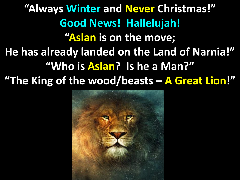**"Always Winter and Never Christmas!" Good News! Hallelujah! "Aslan is on the move; He has already landed on the Land of Narnia!" "Who is Aslan? Is he a Man?" "The King of the wood/beasts – A Great Lion!"**

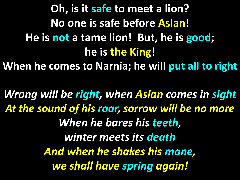**Oh, is it safe to meet a lion? No one is safe before Aslan! He is not a tame lion! But, he is good; he is the King! When he comes to Narnia; he will put all to right**

*Wrong will be right, when Aslan comes in sight At the sound of his roar, sorrow will be no more When he bares his teeth, winter meets its death And when he shakes his mane, we shall have spring again!*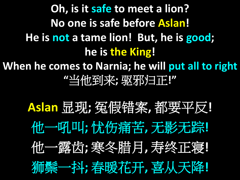**Oh, is it safe to meet a lion? No one is safe before Aslan! He is not a tame lion! But, he is good; he is the King! When he comes to Narnia; he will put all to right "**当他到来**;** 驱邪归正**!"**

> **Aslan** 显现**;** 冤假错案**,** 都要平反**!** 他一吼叫**;** 忧伤痛苦**,** 无影无踪**!** 他一露齿**;** 寒冬腊月**,** 寿终正寝**!** 狮鬃一抖**;** 春暖花开**,** 喜从天降**!**